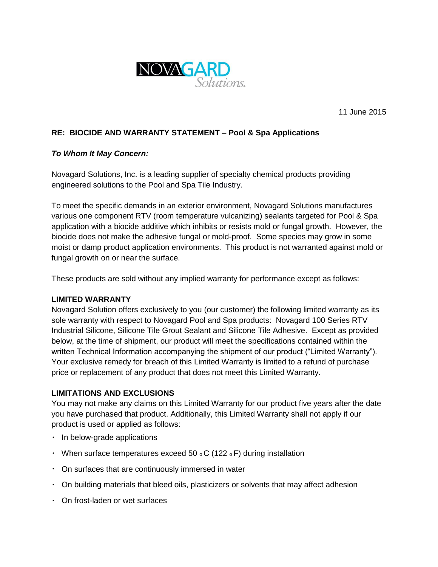

11 June 2015

## **RE: BIOCIDE AND WARRANTY STATEMENT – Pool & Spa Applications**

#### *To Whom It May Concern:*

Novagard Solutions, Inc. is a leading supplier of specialty chemical products providing engineered solutions to the Pool and Spa Tile Industry.

To meet the specific demands in an exterior environment, Novagard Solutions manufactures various one component RTV (room temperature vulcanizing) sealants targeted for Pool & Spa application with a biocide additive which inhibits or resists mold or fungal growth. However, the biocide does not make the adhesive fungal or mold-proof. Some species may grow in some moist or damp product application environments. This product is not warranted against mold or fungal growth on or near the surface.

These products are sold without any implied warranty for performance except as follows:

#### **LIMITED WARRANTY**

Novagard Solution offers exclusively to you (our customer) the following limited warranty as its sole warranty with respect to Novagard Pool and Spa products: Novagard 100 Series RTV Industrial Silicone, Silicone Tile Grout Sealant and Silicone Tile Adhesive. Except as provided below, at the time of shipment, our product will meet the specifications contained within the written Technical Information accompanying the shipment of our product ("Limited Warranty"). Your exclusive remedy for breach of this Limited Warranty is limited to a refund of purchase price or replacement of any product that does not meet this Limited Warranty.

#### **LIMITATIONS AND EXCLUSIONS**

You may not make any claims on this Limited Warranty for our product five years after the date you have purchased that product. Additionally, this Limited Warranty shall not apply if our product is used or applied as follows:

- $\cdot$  In below-grade applications
- When surface temperatures exceed 50  $\circ$  C (122  $\circ$  F) during installation
- $\cdot$  On surfaces that are continuously immersed in water
- On building materials that bleed oils, plasticizers or solvents that may affect adhesion
- On frost-laden or wet surfaces